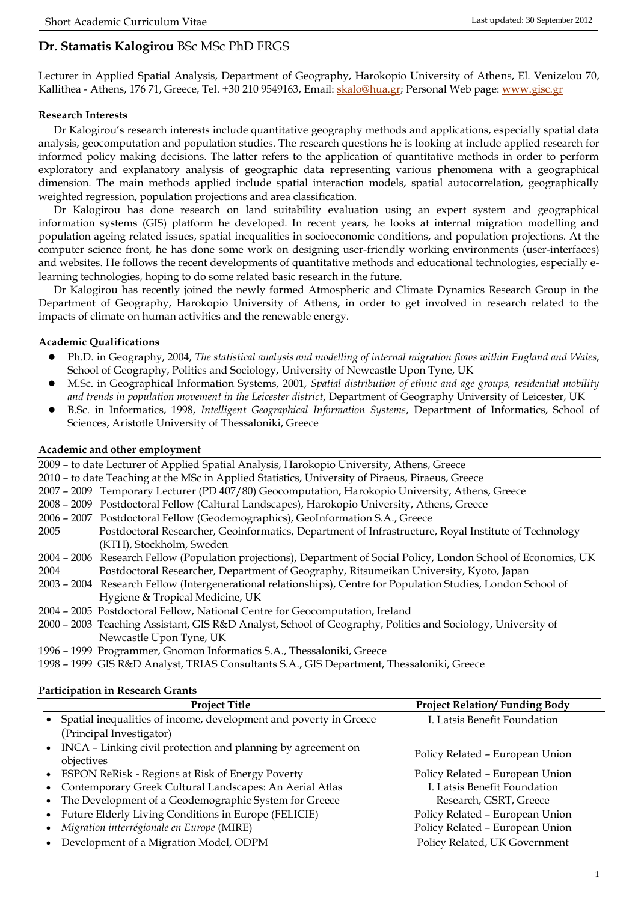# **Dr. Stamatis Kalogirou** BSc MSc PhD FRGS

Lecturer in Applied Spatial Analysis, Department of Geography, Harokopio University of Athens, El. Venizelou 70, Kallithea - Athens, 176 71, Greece, Tel. +30 210 9549163, Email: [skalo@hua.gr;](mailto:skalo@hua.gr) Personal Web page: [www.gisc.gr](http://www.gisc.gr/)

## **Research Interests**

Dr Kalogirou's research interests include quantitative geography methods and applications, especially spatial data analysis, geocomputation and population studies. The research questions he is looking at include applied research for informed policy making decisions. The latter refers to the application of quantitative methods in order to perform exploratory and explanatory analysis of geographic data representing various phenomena with a geographical dimension. The main methods applied include spatial interaction models, spatial autocorrelation, geographically weighted regression, population projections and area classification.

Dr Kalogirou has done research on land suitability evaluation using an expert system and geographical information systems (GIS) platform he developed. In recent years, he looks at internal migration modelling and population ageing related issues, spatial inequalities in socioeconomic conditions, and population projections. At the computer science front, he has done some work on designing user-friendly working environments (user-interfaces) and websites. He follows the recent developments of quantitative methods and educational technologies, especially elearning technologies, hoping to do some related basic research in the future.

Dr Kalogirou has recently joined the newly formed Atmospheric and Climate Dynamics Research Group in the Department of Geography, Harokopio University of Athens, in order to get involved in research related to the impacts of climate on human activities and the renewable energy.

# **Academic Qualifications**

- Ph.D. in Geography, 2004, *The statistical analysis and modelling of internal migration flows within England and Wales*, School of Geography, Politics and Sociology, University of Newcastle Upon Tyne, UK
- M.Sc. in Geographical Information Systems, 2001, *Spatial distribution of ethnic and age groups, residential mobility and trends in population movement in the Leicester district*, Department of Geography University of Leicester, UK
- B.Sc. in Informatics, 1998, *Intelligent Geographical Information Systems*, Department of Informatics, School of Sciences, Aristotle University of Thessaloniki, Greece

## **Academic and other employment**

| 2009 - to date Lecturer of Applied Spatial Analysis, Harokopio University, Athens, Greece        |                                                                                                                   |  |
|--------------------------------------------------------------------------------------------------|-------------------------------------------------------------------------------------------------------------------|--|
| 2010 - to date Teaching at the MSc in Applied Statistics, University of Piraeus, Piraeus, Greece |                                                                                                                   |  |
|                                                                                                  | 2007 - 2009 Temporary Lecturer (PD 407/80) Geocomputation, Harokopio University, Athens, Greece                   |  |
|                                                                                                  | 2008 - 2009 Postdoctoral Fellow (Caltural Landscapes), Harokopio University, Athens, Greece                       |  |
|                                                                                                  | 2006 - 2007 Postdoctoral Fellow (Geodemographics), GeoInformation S.A., Greece                                    |  |
| 2005                                                                                             | Postdoctoral Researcher, Geoinformatics, Department of Infrastructure, Royal Institute of Technology              |  |
|                                                                                                  | (KTH), Stockholm, Sweden                                                                                          |  |
|                                                                                                  | 2004 - 2006 Research Fellow (Population projections), Department of Social Policy, London School of Economics, UK |  |
| 2004                                                                                             | Postdoctoral Researcher, Department of Geography, Ritsumeikan University, Kyoto, Japan                            |  |
|                                                                                                  | 2003 - 2004 Research Fellow (Intergenerational relationships), Centre for Population Studies, London School of    |  |
|                                                                                                  | Hygiene & Tropical Medicine, UK                                                                                   |  |
|                                                                                                  | 2004 - 2005 Postdoctoral Fellow, National Centre for Geocomputation, Ireland                                      |  |
|                                                                                                  | 2000 - 2003 Teaching Assistant, GIS R&D Analyst, School of Geography, Politics and Sociology, University of       |  |
|                                                                                                  | Newcastle Upon Tyne, UK                                                                                           |  |
|                                                                                                  |                                                                                                                   |  |

1996 – 1999 Programmer, Gnomon Informatics S.A., Thessaloniki, Greece

1998 – 1999 GIS R&D Analyst, TRIAS Consultants S.A., GIS Department, Thessaloniki, Greece

#### **Participation in Research Grants**

| <b>Project Title</b>                                                       | <b>Project Relation/Funding Body</b> |
|----------------------------------------------------------------------------|--------------------------------------|
| Spatial inequalities of income, development and poverty in Greece          | I. Latsis Benefit Foundation         |
| (Principal Investigator)                                                   |                                      |
| INCA - Linking civil protection and planning by agreement on<br>objectives | Policy Related - European Union      |
| • ESPON ReRisk - Regions at Risk of Energy Poverty                         | Policy Related - European Union      |
| Contemporary Greek Cultural Landscapes: An Aerial Atlas                    | I. Latsis Benefit Foundation         |
| The Development of a Geodemographic System for Greece                      | Research, GSRT, Greece               |
| Future Elderly Living Conditions in Europe (FELICIE)                       | Policy Related - European Union      |
| Migration interrégionale en Europe (MIRE)                                  | Policy Related - European Union      |
| Development of a Migration Model, ODPM                                     | Policy Related, UK Government        |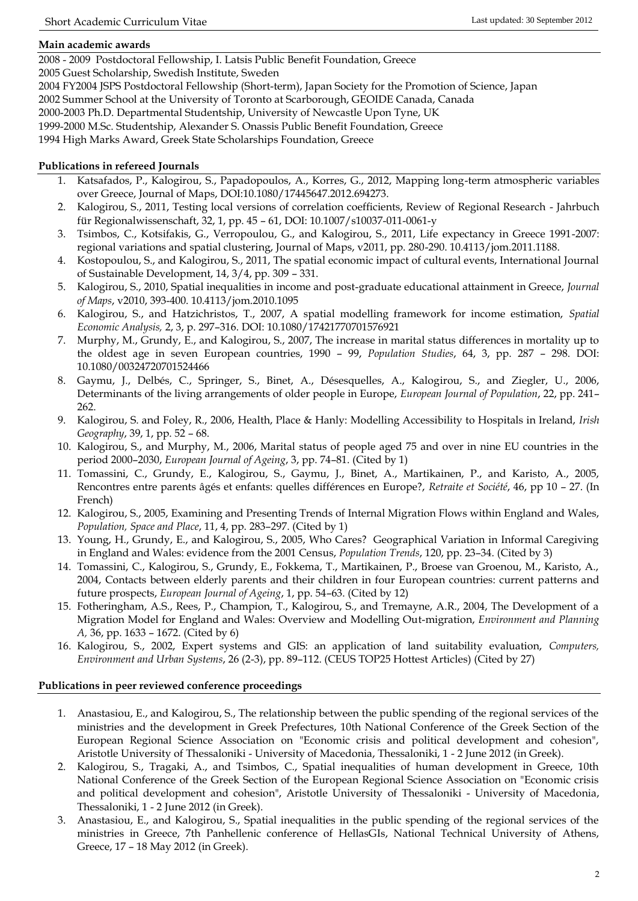## **Main academic awards**

2008 - 2009 Postdoctoral Fellowship, I. Latsis Public Benefit Foundation, Greece

2005 Guest Scholarship, Swedish Institute, Sweden

2004 FY2004 JSPS Postdoctoral Fellowship (Short-term), Japan Society for the Promotion of Science, Japan

2002 Summer School at the University of Toronto at Scarborough, GEOIDE Canada, Canada

2000-2003 Ph.D. Departmental Studentship, University of Newcastle Upon Tyne, UK

1999-2000 M.Sc. Studentship, Alexander S. Onassis Public Benefit Foundation, Greece

1994 High Marks Award, Greek State Scholarships Foundation, Greece

# **Publications in refereed Journals**

- 1. Katsafados, P., Kalogirou, S., Papadopoulos, A., Korres, G., 2012, Mapping long-term atmospheric variables over Greece, Journal of Maps, DOI:10.1080/17445647.2012.694273.
- 2. Kalogirou, S., 2011, Testing local versions of correlation coefficients, Review of Regional Research Jahrbuch für Regionalwissenschaft, 32, 1, pp. 45 – 61, DOI: 10.1007/s10037-011-0061-y
- 3. Tsimbos, C., Kotsifakis, G., Verropoulou, G., and Kalogirou, S., 2011, Life expectancy in Greece 1991-2007: regional variations and spatial clustering, Journal of Maps, v2011, pp. 280-290. 10.4113/jom.2011.1188.
- 4. Kostopoulou, S., and Kalogirou, S., 2011, The spatial economic impact of cultural events, International Journal of Sustainable Development, 14, 3/4, pp. 309 – 331.
- 5. Kalogirou, S., 2010, Spatial inequalities in income and post-graduate educational attainment in Greece, *Journal of Maps*, v2010, 393-400. 10.4113/jom.2010.1095
- 6. Kalogirou, S., and Hatzichristos, T., 2007, Α spatial modelling framework for income estimation, *Spatial Economic Analysis,* 2, 3, p. 297–316. DOI: 10.1080/17421770701576921
- 7. Murphy, M., Grundy, E., and Kalogirou, S., 2007, The increase in marital status differences in mortality up to the oldest age in seven European countries, 1990 – 99, *Population Studies*, 64, 3, pp. 287 – 298. DOI: 10.1080/00324720701524466
- 8. Gaymu, J., Delbés, C., Springer, S., Binet, A., Désesquelles, A., Kalogirou, S., and Ziegler, U., 2006, Determinants of the living arrangements of older people in Europe, *European Journal of Population*, 22, pp. 241– 262.
- 9. Kalogirou, S. and Foley, R., 2006, Health, Place & Hanly: Modelling Accessibility to Hospitals in Ireland, *Irish Geography*, 39, 1, pp. 52 – 68.
- 10. Kalogirou, S., and Murphy, M., 2006, Marital status of people aged 75 and over in nine EU countries in the period 2000–2030, *European Journal of Ageing*, 3, pp. 74–81. (Cited by 1)
- 11. Tomassini, C., Grundy, E., Kalogirou, S., Gaymu, J., Binet, A., Martikainen, P., and Karisto, A., 2005, Rencontres entre parents âgés et enfants: quelles différences en Europe?, *Retraite et Société*, 46, pp 10 – 27. (In French)
- 12. Kalogirou, S., 2005, Examining and Presenting Trends of Internal Migration Flows within England and Wales, *Population, Space and Place*, 11, 4, pp. 283–297. (Cited by 1)
- 13. Young, H., Grundy, E., and Kalogirou, S., 2005, Who Cares? Geographical Variation in Informal Caregiving in England and Wales: evidence from the 2001 Census, *Population Trends*, 120, pp. 23–34. (Cited by 3)
- 14. Tomassini, C., Kalogirou, S., Grundy, E., Fokkema, T., Martikainen, P., Broese van Groenou, M., Karisto, A., 2004, Contacts between elderly parents and their children in four European countries: current patterns and future prospects, *European Journal of Ageing*, 1, pp. 54–63. (Cited by 12)
- 15. Fotheringham, A.S., Rees, P., Champion, T., Kalogirou, S., and Tremayne, A.R., 2004, The Development of a Migration Model for England and Wales: Overview and Modelling Out-migration, *Environment and Planning A,* 36, pp. 1633 – 1672. (Cited by 6)
- 16. Kalogirou, S., 2002, Expert systems and GIS: an application of land suitability evaluation, *Computers, Environment and Urban Systems*, 26 (2-3), pp. 89–112. (CEUS TOP25 Hottest Articles) (Cited by 27)

# **Publications in peer reviewed conference proceedings**

- 1. Anastasiou, E., and Kalogirou, S., The relationship between the public spending of the regional services of the ministries and the development in Greek Prefectures, 10th National Conference of the Greek Section of the European Regional Science Association on "Economic crisis and political development and cohesion", Aristotle University of Thessaloniki - University of Macedonia, Thessaloniki, 1 - 2 June 2012 (in Greek).
- 2. Kalogirou, S., Tragaki, A., and Tsimbos, C., Spatial inequalities of human development in Greece, 10th National Conference of the Greek Section of the European Regional Science Association on "Economic crisis and political development and cohesion", Aristotle University of Thessaloniki - University of Macedonia, Thessaloniki, 1 - 2 June 2012 (in Greek).
- 3. Anastasiou, E., and Kalogirou, S., Spatial inequalities in the public spending of the regional services of the ministries in Greece, 7th Panhellenic conference of HellasGIs, National Technical University of Athens, Greece, 17 – 18 May 2012 (in Greek).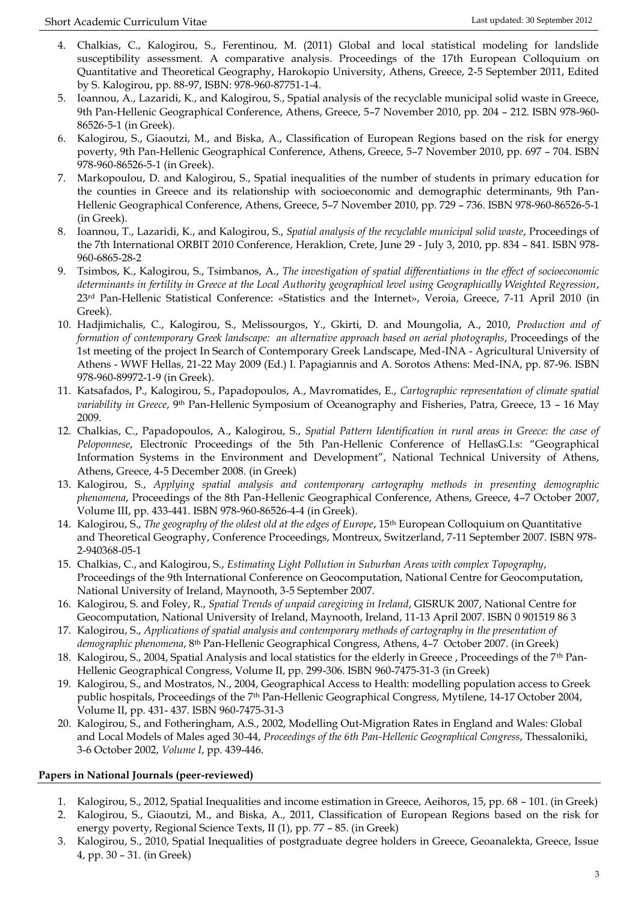- 4. Chalkias, C., Kalogirou, S., Ferentinou, M. (2011) Global and local statistical modeling for landslide susceptibility assessment. A comparative analysis. Proceedings of the 17th European Colloquium on Quantitative and Theoretical Geography, Harokopio University, Athens, Greece, 2-5 September 2011, Edited by S. Kalogirou, pp. 88-97, ISBN: 978-960-87751-1-4.
- 5. Ioannou, A., Lazaridi, K., and Kalogirou, S., Spatial analysis of the recyclable municipal solid waste in Greece, 9th Pan-Hellenic Geographical Conference, Athens, Greece, 5–7 November 2010, pp. 204 – 212. ISBN 978-960- 86526-5-1 (in Greek).
- 6. Kalogirou, S., Giaoutzi, M., and Biska, A., Classification of European Regions based on the risk for energy poverty, 9th Pan-Hellenic Geographical Conference, Athens, Greece, 5–7 November 2010, pp. 697 – 704. ISBN 978-960-86526-5-1 (in Greek).
- 7. Markopoulou, D. and Kalogirou, S., Spatial inequalities of the number of students in primary education for the counties in Greece and its relationship with socioeconomic and demographic determinants, 9th Pan-Hellenic Geographical Conference, Athens, Greece, 5–7 November 2010, pp. 729 – 736. ISBN 978-960-86526-5-1 (in Greek).
- 8. Ioannou, T., Lazaridi, K., and Kalogirou, S., *Spatial analysis of the recyclable municipal solid waste*, Proceedings of the 7th International ORBIT 2010 Conference, Heraklion, Crete, June 29 - July 3, 2010, pp. 834 – 841. ISBN 978- 960-6865-28-2
- 9. Tsimbos, K., Kalogirou, S., Tsimbanos, A., *The investigation of spatial differentiations in the effect of socioeconomic determinants in fertility in Greece at the Local Authority geographical level using Geographically Weighted Regression*, 23rd Pan-Hellenic Statistical Conference: «Statistics and the Internet», Veroia, Greece, 7-11 April 2010 (in Greek).
- 10. Hadjimichalis, C., Kalogirou, S., Melissourgos, Y., Gkirti, D. and Moungolia, A., 2010, *Production and of formation of contemporary Greek landscape: an alternative approach based on aerial photographs*, Proceedings of the 1st meeting of the project In Search of Contemporary Greek Landscape, Med-INA - Agricultural University of Athens - WWF Hellas, 21-22 May 2009 (Ed.) I. Papagiannis and A. Sorotos Athens: Med-INA, pp. 87-96. ISBN 978-960-89972-1-9 (in Greek).
- 11. Katsafados, P., Kalogirou, S., Papadopoulos, A., Mavromatides, E., *Cartographic representation of climate spatial variability in Greece*, 9th Pan-Hellenic Symposium of Oceanography and Fisheries, Patra, Greece, 13 – 16 May 2009.
- 12. Chalkias, C., Papadopoulos, A., Kalogirou, S., *Spatial Pattern Identification in rural areas in Greece: the case of Peloponnese*, Electronic Proceedings of the 5th Pan-Hellenic Conference of HellasG.I.s: "Geographical Information Systems in the Environment and Development", National Technical University of Athens, Athens, Greece, 4-5 December 2008. (in Greek)
- 13. Kalogirou, S., *Applying spatial analysis and contemporary cartography methods in presenting demographic phenomena*, Proceedings of the 8th Pan-Hellenic Geographical Conference, Athens, Greece, 4–7 October 2007, Volume III, pp. 433-441. ISBN 978-960-86526-4-4 (in Greek).
- 14. Kalogirou, S., *The geography of the oldest old at the edges of Europe*, 15th European Colloquium on Quantitative and Theoretical Geography, Conference Proceedings, Montreux, Switzerland, 7-11 September 2007. ISBN 978- 2-940368-05-1
- 15. Chalkias, C., and Kalogirou, S., *Estimating Light Pollution in Suburban Areas with complex Topography*, Proceedings of the 9th International Conference on Geocomputation, National Centre for Geocomputation, National University of Ireland, Maynooth, 3-5 September 2007.
- 16. Kalogirou, S. and Foley, R., *Spatial Trends of unpaid caregiving in Ireland*, GISRUK 2007, National Centre for Geocomputation, National University of Ireland, Maynooth, Ireland, 11-13 April 2007. ISBN 0 901519 86 3
- 17. Kalogirou, S., *Applications of spatial analysis and contemporary methods of cartography in the presentation of demographic phenomena*, 8th Pan-Hellenic Geographical Congress, Athens, 4–7 October 2007. (in Greek)
- 18. Kalogirou, S., 2004, Spatial Analysis and local statistics for the elderly in Greece , Proceedings of the 7th Pan-Hellenic Geographical Congress, Volume II, pp. 299-306. ISBN 960-7475-31-3 (in Greek)
- 19. Kalogirou, S., and Mostratos, N., 2004, Geographical Access to Health: modelling population access to Greek public hospitals, Proceedings of the 7<sup>th</sup> Pan-Hellenic Geographical Congress, Mytilene, 14-17 October 2004, Volume II, pp. 431- 437. ISBN 960-7475-31-3
- 20. Kalogirou, S., and Fotheringham, A.S., 2002, Modelling Out-Migration Rates in England and Wales: Global and Local Models of Males aged 30-44, *Proceedings of the 6th Pan-Hellenic Geographical Congress*, Thessaloniki, 3-6 October 2002, *Volume I*, pp. 439-446.

# **Papers in National Journals (peer-reviewed)**

- 1. Kalogirou, S., 2012, Spatial Inequalities and income estimation in Greece, Aeihoros, 15, pp. 68 101. (in Greek)
- 2. Kalogirou, S., Giaoutzi, M., and Biska, A., 2011, Classification of European Regions based on the risk for energy poverty, Regional Science Texts, II (1), pp. 77 – 85. (in Greek)
- 3. Kalogirou, S., 2010, Spatial Inequalities of postgraduate degree holders in Greece, Geoanalekta, Greece, Issue 4, pp. 30 – 31. (in Greek)